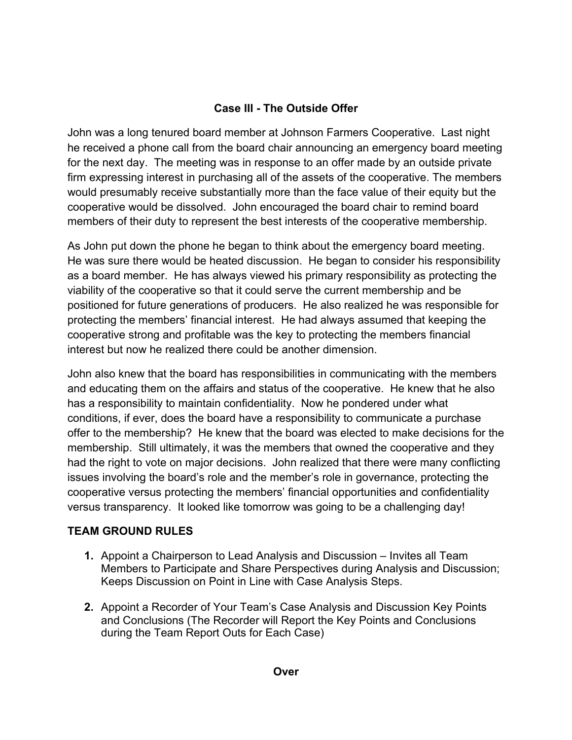## **Case III - The Outside Offer**

John was a long tenured board member at Johnson Farmers Cooperative. Last night he received a phone call from the board chair announcing an emergency board meeting for the next day. The meeting was in response to an offer made by an outside private firm expressing interest in purchasing all of the assets of the cooperative. The members would presumably receive substantially more than the face value of their equity but the cooperative would be dissolved. John encouraged the board chair to remind board members of their duty to represent the best interests of the cooperative membership.

As John put down the phone he began to think about the emergency board meeting. He was sure there would be heated discussion. He began to consider his responsibility as a board member. He has always viewed his primary responsibility as protecting the viability of the cooperative so that it could serve the current membership and be positioned for future generations of producers. He also realized he was responsible for protecting the members' financial interest. He had always assumed that keeping the cooperative strong and profitable was the key to protecting the members financial interest but now he realized there could be another dimension.

John also knew that the board has responsibilities in communicating with the members and educating them on the affairs and status of the cooperative. He knew that he also has a responsibility to maintain confidentiality. Now he pondered under what conditions, if ever, does the board have a responsibility to communicate a purchase offer to the membership? He knew that the board was elected to make decisions for the membership. Still ultimately, it was the members that owned the cooperative and they had the right to vote on major decisions. John realized that there were many conflicting issues involving the board's role and the member's role in governance, protecting the cooperative versus protecting the members' financial opportunities and confidentiality versus transparency. It looked like tomorrow was going to be a challenging day!

## **TEAM GROUND RULES**

- **1.** Appoint a Chairperson to Lead Analysis and Discussion Invites all Team Members to Participate and Share Perspectives during Analysis and Discussion; Keeps Discussion on Point in Line with Case Analysis Steps.
- **2.** Appoint a Recorder of Your Team's Case Analysis and Discussion Key Points and Conclusions (The Recorder will Report the Key Points and Conclusions during the Team Report Outs for Each Case)